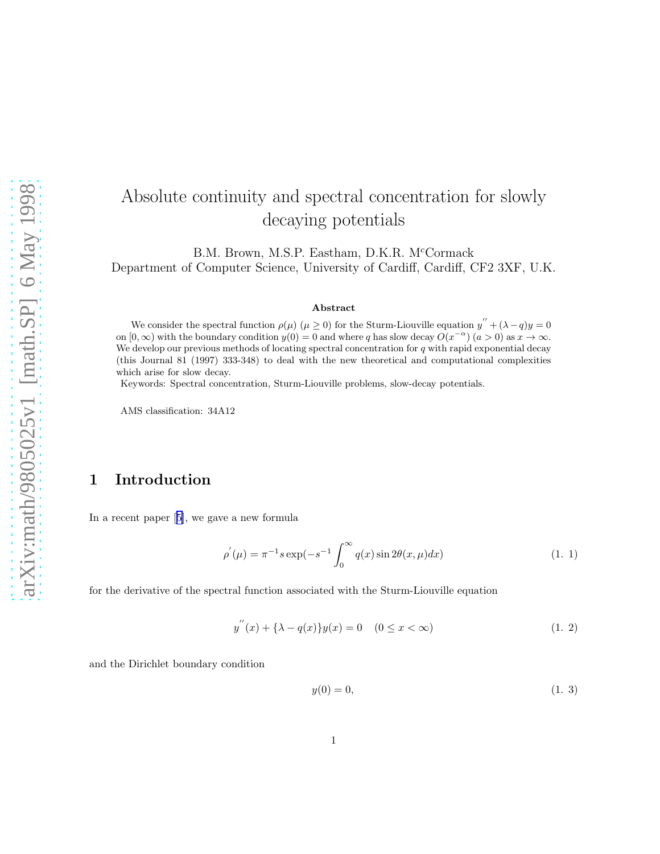# <span id="page-0-0"></span>Absolute continuity and spectral concentration for slowly decaying potentials

B.M. Brown, M.S.P. Eastham, D.K.R. M<sup>c</sup>Cormack Department of Computer Science, University of Cardiff, Cardiff, CF2 3XF, U.K.

#### Abstract

We consider the spectral function  $\rho(\mu)$   $(\mu \ge 0)$  for the Sturm-Liouville equation  $y'' + (\lambda - q)y = 0$ on  $[0, \infty)$  with the boundary condition  $y(0) = 0$  and where q has slow decay  $O(x^{-\alpha})$   $(a > 0)$  as  $x \to \infty$ . We develop our previous methods of locating spectral concentration for  $q$  with rapid exponential decay (this Journal 81 (1997) 333-348) to deal with the new theoretical and computational complexities which arise for slow decay.

Keywords: Spectral concentration, Sturm-Liouville problems, slow-decay potentials.

AMS classification: 34A12

# 1 Introduction

In a recent paper[[5\]](#page-26-0), we gave a new formula

$$
\rho^{'}(\mu) = \pi^{-1} s \exp(-s^{-1} \int_0^\infty q(x) \sin 2\theta(x, \mu) dx)
$$
\n(1. 1)

for the derivative of the spectral function associated with the Sturm-Liouville equation

$$
y^{''}(x) + {\lambda - q(x)}y(x) = 0 \quad (0 \le x < \infty)
$$
\n(1. 2)

and the Dirichlet boundary condition

$$
y(0) = 0,\t(1. 3)
$$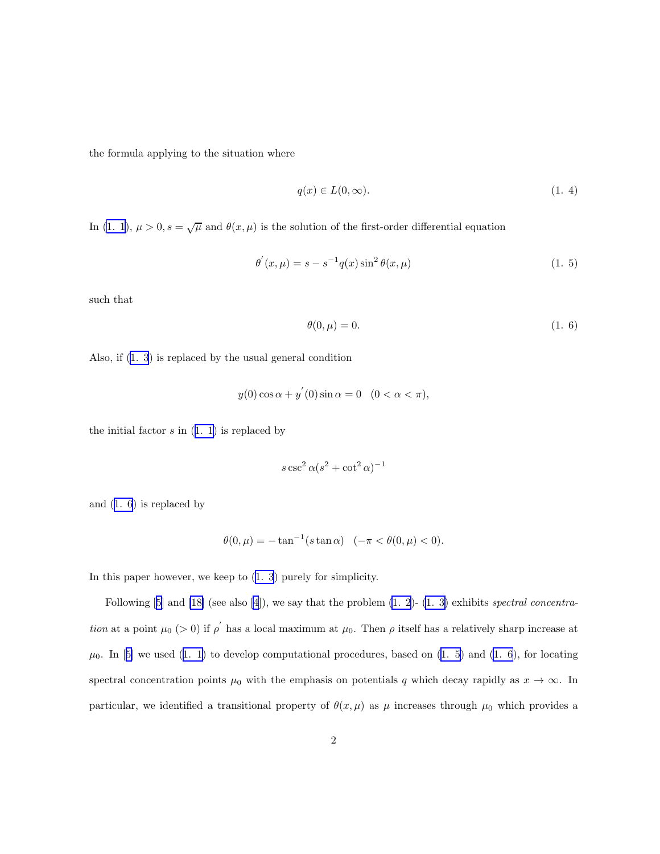<span id="page-1-0"></span>the formula applying to the situation where

$$
q(x) \in L(0,\infty). \tag{1.4}
$$

In [\(1. 1](#page-0-0)),  $\mu > 0$ ,  $s = \sqrt{\mu}$  and  $\theta(x, \mu)$  is the solution of the first-order differential equation

$$
\theta^{'}(x,\mu) = s - s^{-1}q(x)\sin^2\theta(x,\mu)
$$
\n(1. 5)

such that

$$
\theta(0,\mu) = 0.\tag{1.6}
$$

Also, if([1. 3](#page-0-0)) is replaced by the usual general condition

$$
y(0)\cos\alpha + y^{'}(0)\sin\alpha = 0 \quad (0 < \alpha < \pi),
$$

theinitial factor  $s$  in  $(1, 1)$  is replaced by

$$
s\csc^2\alpha(s^2+\cot^2\alpha)^{-1}
$$

and (1. 6) is replaced by

$$
\theta(0,\mu) = -\tan^{-1}(s\tan\alpha) \quad (-\pi < \theta(0,\mu) < 0).
$$

In this paper however, we keep to [\(1. 3](#page-0-0)) purely for simplicity.

Following $[5]$  $[5]$  and  $[18]$  (see also  $[4]$ ), we say that the problem  $(1. 2)$ -  $(1. 3)$  exhibits spectral concentration at a point  $\mu_0$  (> 0) if  $\rho'$  has a local maximum at  $\mu_0$ . Then  $\rho$  itself has a relatively sharp increase at  $\mu_0$ .In [[5\]](#page-26-0) we used ([1. 1\)](#page-0-0) to develop computational procedures, based on (1. 5) and (1. 6), for locating spectral concentration points  $\mu_0$  with the emphasis on potentials q which decay rapidly as  $x \to \infty$ . In particular, we identified a transitional property of  $\theta(x,\mu)$  as  $\mu$  increases through  $\mu_0$  which provides a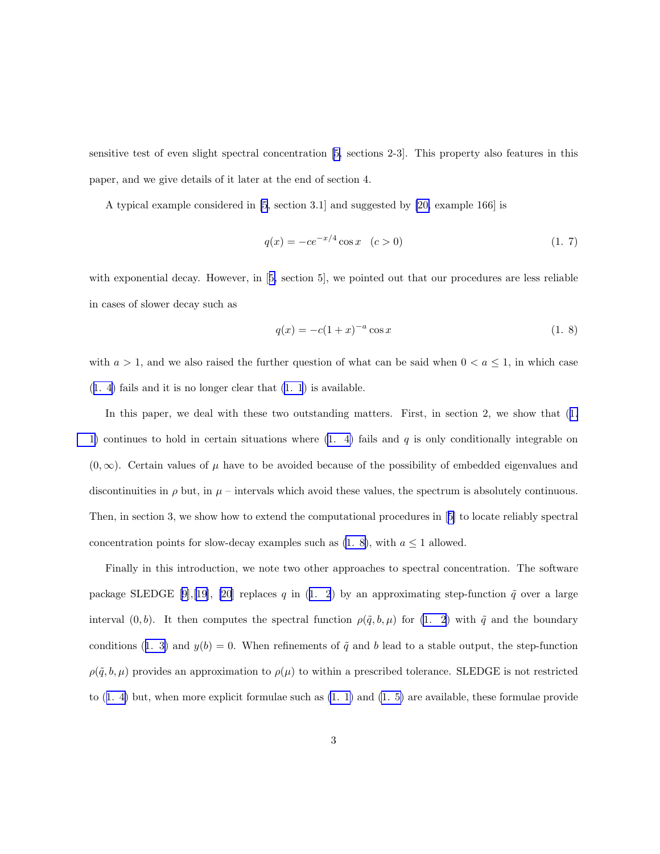<span id="page-2-0"></span>sensitive test of even slight spectral concentration[[5,](#page-26-0) sections 2-3]. This property also features in this paper, and we give details of it later at the end of section 4.

A typical example considered in [\[5](#page-26-0), section 3.1] and suggested by [\[20,](#page-28-0) example 166] is

$$
q(x) = -ce^{-x/4}\cos x \quad (c > 0)
$$
 (1. 7)

withexponential decay. However, in [[5,](#page-26-0) section 5], we pointed out that our procedures are less reliable in cases of slower decay such as

$$
q(x) = -c(1+x)^{-a}\cos x\tag{1.8}
$$

with  $a > 1$ , and we also raised the further question of what can be said when  $0 < a \le 1$ , in which case ([1. 4\)](#page-1-0) fails and it is no longer clear that [\(1. 1](#page-0-0)) is available.

Inthis paper, we deal with these two outstanding matters. First, in section 2, we show that  $(1.$  $(1.$ [1\)](#page-0-0) continues to hold in certain situations where  $(1, 4)$  fails and q is only conditionally integrable on  $(0, \infty)$ . Certain values of  $\mu$  have to be avoided because of the possibility of embedded eigenvalues and discontinuities in  $\rho$  but, in  $\mu$  – intervals which avoid these values, the spectrum is absolutely continuous. Then, in section 3, we show how to extend the computational procedures in[[5\]](#page-26-0) to locate reliably spectral concentration points for slow-decay examples such as  $(1, 8)$ , with  $a \le 1$  allowed.

Finally in this introduction, we note two other approaches to spectral concentration. The software packageSLEDGE [[9\]](#page-27-0),[\[19](#page-28-0)], [\[20](#page-28-0)] replaces q in ([1. 2](#page-0-0)) by an approximating step-function  $\tilde{q}$  over a large interval  $(0, b)$ . It then computes the spectral function  $\rho(\tilde{q}, b, \mu)$  for  $(1, 2)$  with  $\tilde{q}$  and the boundary conditions([1. 3\)](#page-0-0) and  $y(b) = 0$ . When refinements of  $\tilde{q}$  and b lead to a stable output, the step-function  $\rho(\tilde{q}, b, \mu)$  provides an approximation to  $\rho(\mu)$  to within a prescribed tolerance. SLEDGE is not restricted to([1. 4\)](#page-1-0) but, when more explicit formulae such as [\(1. 1\)](#page-0-0) and [\(1. 5\)](#page-1-0) are available, these formulae provide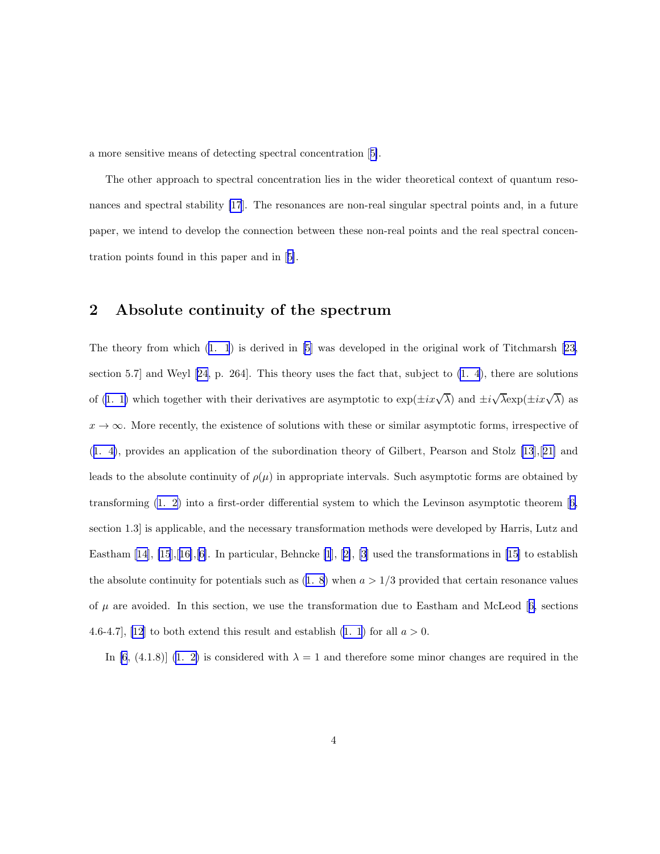a more sensitive means of detecting spectral concentration[[5\]](#page-26-0).

The other approach to spectral concentration lies in the wider theoretical context of quantum resonances and spectral stability [\[17](#page-28-0)]. The resonances are non-real singular spectral points and, in a future paper, we intend to develop the connection between these non-real points and the real spectral concentration points found in this paper and in[[5\]](#page-26-0).

## 2 Absolute continuity of the spectrum

The theory from which([1. 1](#page-0-0)) is derived in [\[5](#page-26-0)] was developed in the original work of Titchmarsh[[23,](#page-28-0) section 5.7] and Weyl [\[24](#page-28-0), p. 264]. This theory uses the fact that, subject to [\(1. 4](#page-1-0)), there are solutions of [\(1. 1\)](#page-0-0) which together with their derivatives are asymptotic to  $\exp(\pm ix\sqrt{\lambda})$  and  $\pm i\sqrt{\lambda}\exp(\pm ix\sqrt{\lambda})$  as  $x \to \infty$ . More recently, the existence of solutions with these or similar asymptotic forms, irrespective of ([1. 4\)](#page-1-0), provides an application of the subordination theory of Gilbert, Pearson and Stolz [\[13](#page-27-0)],[[21\]](#page-28-0) and leads to the absolute continuity of  $\rho(\mu)$  in appropriate intervals. Such asymptotic forms are obtained by transforming [\(1. 2\)](#page-0-0) into a first-order differential system to which the Levinson asymptotic theorem[[6,](#page-26-0) section 1.3] is applicable, and the necessary transformation methods were developed by Harris, Lutz and Eastham $[14]$  $[14]$ ,  $[15]$  $[15]$ , $[16]$  $[16]$ , $[6]$  $[6]$ . In particular, Behncke  $[1]$ ,  $[2]$  $[2]$ ,  $[3]$  used the transformations in  $[15]$  to establish theabsolute continuity for potentials such as  $(1, 8)$  when  $a > 1/3$  provided that certain resonance values of $\mu$  are avoided. In this section, we use the transformation due to Eastham and McLeod [[6,](#page-26-0) sections 4.6-4.7], [\[12](#page-27-0)]to both extend this result and establish  $(1, 1)$  for all  $a > 0$ .

In [\[6](#page-26-0), (4.1.8)] [\(1. 2\)](#page-0-0) is considered with  $\lambda = 1$  and therefore some minor changes are required in the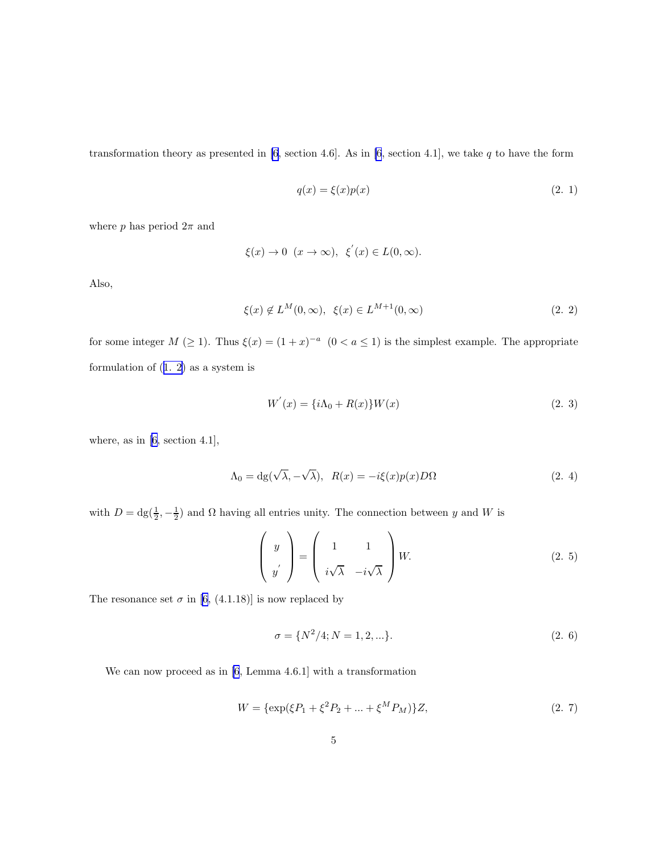<span id="page-4-0"></span>transformation theory as presented in  $[6, \text{ section } 4.6]$ . As in  $[6, \text{ section } 4.1]$ , we take q to have the form

$$
q(x) = \xi(x)p(x) \tag{2.1}
$$

where p has period  $2\pi$  and

$$
\xi(x)\to 0\;\; (x\to\infty),\;\; \xi^{'}(x)\in L(0,\infty).
$$

Also,

$$
\xi(x) \notin L^M(0, \infty), \ \xi(x) \in L^{M+1}(0, \infty) \tag{2.2}
$$

for some integer  $M \ (\geq 1)$ . Thus  $\xi(x) = (1+x)^{-a} \ (0 < a \leq 1)$  is the simplest example. The appropriate formulation of([1. 2\)](#page-0-0) as a system is

$$
W^{'}(x) = \{i\Lambda_0 + R(x)\} W(x)
$$
\n(2. 3)

where, as in[[6,](#page-26-0) section 4.1],

$$
\Lambda_0 = dg(\sqrt{\lambda}, -\sqrt{\lambda}), \ R(x) = -i\xi(x)p(x)D\Omega
$$
\n(2. 4)

with  $D = dg(\frac{1}{2}, -\frac{1}{2})$  and  $\Omega$  having all entries unity. The connection between y and W is

$$
\begin{pmatrix} y \\ y' \\ y' \end{pmatrix} = \begin{pmatrix} 1 & 1 \\ i\sqrt{\lambda} & -i\sqrt{\lambda} \end{pmatrix} W.
$$
 (2.5)

The resonance set  $\sigma$  in [\[6](#page-26-0), (4.1.18)] is now replaced by

$$
\sigma = \{N^2/4; N = 1, 2, \ldots\}.
$$
\n(2. 6)

We can now proceed as in [\[6](#page-26-0), Lemma 4.6.1] with a transformation

$$
W = {\exp(\xi P_1 + \xi^2 P_2 + \dots + \xi^M P_M)}Z,
$$
\n(2. 7)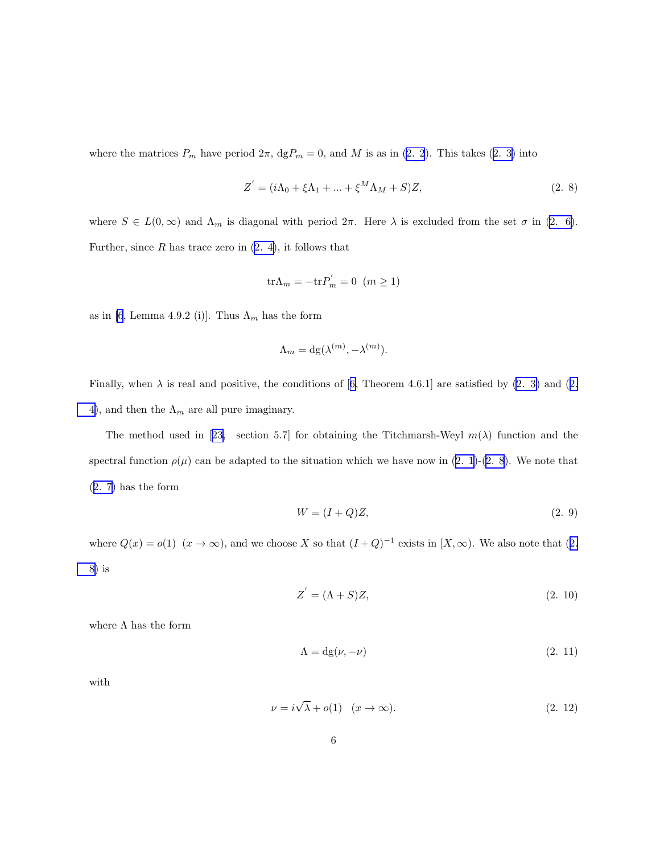<span id="page-5-0"></span>wherethe matrices  $P_m$  have period  $2\pi$ ,  $\text{dg}P_m = 0$ , and M is as in [\(2. 2](#page-4-0)). This takes ([2. 3\)](#page-4-0) into

$$
Z' = (i\Lambda_0 + \xi\Lambda_1 + \dots + \xi^M\Lambda_M + S)Z,
$$
\n(2. 8)

where  $S \in L(0,\infty)$  and  $\Lambda_m$  is diagonal with period  $2\pi$ . Here  $\lambda$  is excluded from the set  $\sigma$  in [\(2. 6\)](#page-4-0). Further, since  $R$  has trace zero in  $(2, 4)$ , it follows that

$$
\text{tr}\Lambda_m = -\text{tr}P'_m = 0 \ \ (m \ge 1)
$$

as in [\[6](#page-26-0), Lemma 4.9.2 (i)]. Thus  $\Lambda_m$  has the form

$$
\Lambda_m = \mathrm{dg}(\lambda^{(m)}, -\lambda^{(m)}).
$$

Finally,when  $\lambda$  is real and positive, the conditions of [[6,](#page-26-0) Theorem 4.6.1] are satisfied by [\(2. 3\)](#page-4-0) and ([2.](#page-4-0) [4\)](#page-4-0), and then the  $\Lambda_m$  are all pure imaginary.

Themethod used in [[23,](#page-28-0) section 5.7] for obtaining the Titchmarsh-Weyl  $m(\lambda)$  function and the spectralfunction  $\rho(\mu)$  can be adapted to the situation which we have now in ([2. 1\)](#page-4-0)-(2. 8). We note that ([2. 7\)](#page-4-0) has the form

$$
W = (I + Q)Z,\t(2.9)
$$

where  $Q(x) = o(1)$   $(x \to \infty)$ , and we choose X so that  $(I+Q)^{-1}$  exists in  $[X,\infty)$ . We also note that  $(2, \infty)$ 8) is

$$
Z' = (\Lambda + S)Z,\tag{2.10}
$$

where  $\Lambda$  has the form

$$
\Lambda = dg(\nu, -\nu) \tag{2.11}
$$

with

$$
\nu = i\sqrt{\lambda} + o(1) \quad (x \to \infty). \tag{2.12}
$$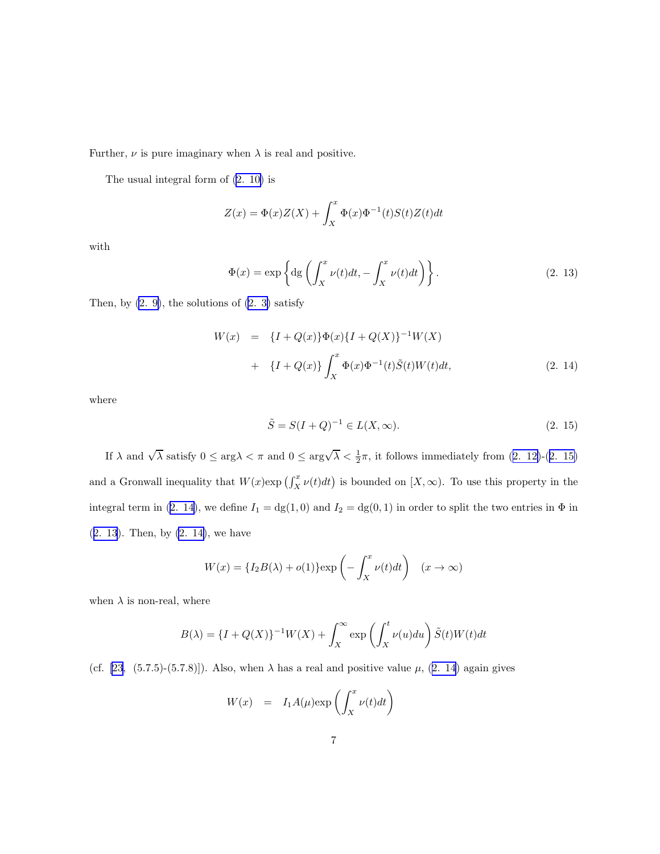Further,  $\nu$  is pure imaginary when  $\lambda$  is real and positive.

The usual integral form of [\(2. 10\)](#page-5-0) is

$$
Z(x) = \Phi(x)Z(X) + \int_X^x \Phi(x)\Phi^{-1}(t)S(t)Z(t)dt
$$

with

$$
\Phi(x) = \exp\left\{ \mathrm{dg}\left(\int_X^x \nu(t)dt, -\int_X^x \nu(t)dt\right) \right\}.
$$
\n(2. 13)

Then, by  $(2, 9)$ , the solutions of  $(2, 3)$  satisfy

$$
W(x) = {I + Q(x)}\Phi(x){I + Q(X)}^{-1}W(X)
$$
  
+ {I + Q(x)}  $\int_X^x \Phi(x)\Phi^{-1}(t)\tilde{S}(t)W(t)dt$ , (2. 14)

where

$$
\tilde{S} = S(I + Q)^{-1} \in L(X, \infty). \tag{2.15}
$$

If $\lambda$  and  $\sqrt{\lambda}$  satisfy  $0 \le \arg \lambda < \pi$  and  $0 \le \arg \sqrt{\lambda} < \frac{1}{2}\pi$ , it follows immediately from  $(2, 12)-(2, 15)$ and a Gronwall inequality that  $W(x)$ exp  $\left(\int_X^x \nu(t)dt\right)$  is bounded on  $[X,\infty)$ . To use this property in the integral term in (2. 14), we define  $I_1 = dg(1,0)$  and  $I_2 = dg(0,1)$  in order to split the two entries in  $\Phi$  in (2. 13). Then, by (2. 14), we have

$$
W(x) = \{I_2B(\lambda) + o(1)\}\exp\left(-\int_X^x \nu(t)dt\right) \quad (x \to \infty)
$$

when  $\lambda$  is non-real, where

$$
B(\lambda) = \{I + Q(X)\}^{-1}W(X) + \int_X^{\infty} \exp\left(\int_X^t \nu(u) du\right) \tilde{S}(t)W(t)dt
$$

(cf. [\[23](#page-28-0), (5.7.5)-(5.7.8)]). Also, when  $\lambda$  has a real and positive value  $\mu$ , (2. 14) again gives

$$
W(x) = I_1 A(\mu) \exp\left(\int_X^x \nu(t) dt\right)
$$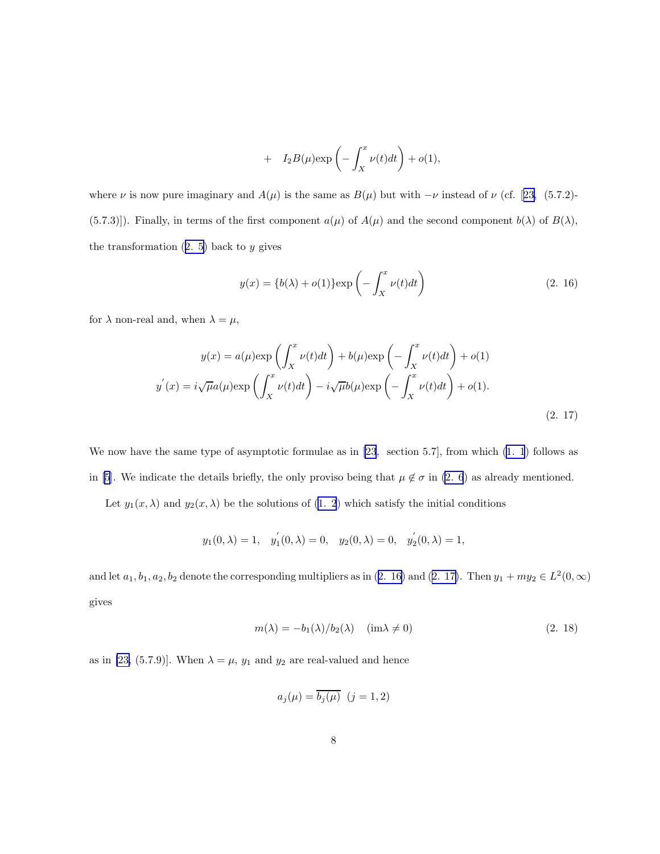+ 
$$
I_2B(\mu)\exp\left(-\int_X^x \nu(t)dt\right) + o(1),
$$

<span id="page-7-0"></span>where $\nu$  is now pure imaginary and  $A(\mu)$  is the same as  $B(\mu)$  but with  $-\nu$  instead of  $\nu$  (cf. [[23,](#page-28-0) (5.7.2)-(5.7.3)]). Finally, in terms of the first component  $a(\mu)$  of  $A(\mu)$  and the second component  $b(\lambda)$  of  $B(\lambda)$ , thetransformation  $(2. 5)$  $(2. 5)$  back to y gives

$$
y(x) = \{b(\lambda) + o(1)\}\exp\left(-\int_X^x \nu(t)dt\right)
$$
\n(2. 16)

for  $\lambda$  non-real and, when  $\lambda = \mu$ ,

$$
y(x) = a(\mu) \exp\left(\int_X^x \nu(t)dt\right) + b(\mu) \exp\left(-\int_X^x \nu(t)dt\right) + o(1)
$$

$$
y'(x) = i\sqrt{\mu}a(\mu) \exp\left(\int_X^x \nu(t)dt\right) - i\sqrt{\mu}b(\mu) \exp\left(-\int_X^x \nu(t)dt\right) + o(1).
$$
\n(2. 17)

We now have the same type of asymptotic formulae as in [\[23](#page-28-0), section 5.7], from which  $(1, 1)$  follows as in [\[5](#page-26-0)]. We indicate the details briefly, the only proviso being that  $\mu \notin \sigma$  in [\(2. 6](#page-4-0)) as already mentioned.

Let  $y_1(x, \lambda)$  and  $y_2(x, \lambda)$  be the solutions of  $(1, 2)$  which satisfy the initial conditions

$$
y_1(0,\lambda) = 1
$$
,  $y'_1(0,\lambda) = 0$ ,  $y_2(0,\lambda) = 0$ ,  $y'_2(0,\lambda) = 1$ ,

and let  $a_1, b_1, a_2, b_2$  denote the corresponding multipliers as in (2. 16) and (2. 17). Then  $y_1 + my_2 \in L^2(0, \infty)$ gives

$$
m(\lambda) = -b_1(\lambda)/b_2(\lambda) \quad (\text{im}\lambda \neq 0)
$$
\n
$$
(2.18)
$$

as in [\[23,](#page-28-0) (5.7.9)]. When  $\lambda = \mu$ ,  $y_1$  and  $y_2$  are real-valued and hence

$$
a_j(\mu) = \overline{b_j(\mu)} \ \ (j=1,2)
$$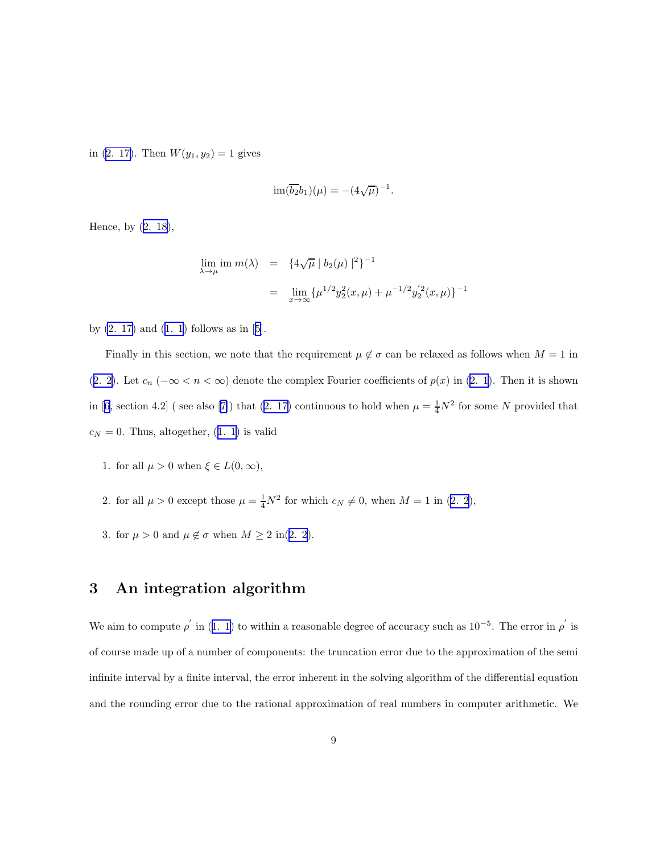in [\(2. 17\)](#page-7-0). Then  $W(y_1, y_2) = 1$  gives

$$
\operatorname{im}(\overline{b_2}b_1)(\mu) = -(4\sqrt{\mu})^{-1}.
$$

Hence, by([2. 18](#page-7-0)),

$$
\lim_{\lambda \to \mu} \text{im } m(\lambda) = \{ 4\sqrt{\mu} | b_2(\mu) |^2 \}^{-1}
$$
  
= 
$$
\lim_{x \to \infty} \{ \mu^{1/2} y_2^2(x, \mu) + \mu^{-1/2} y_2'^2(x, \mu) \}^{-1}
$$

by $(2. 17)$  and  $(1. 1)$  follows as in [[5\]](#page-26-0).

Finally in this section, we note that the requirement  $\mu \notin \sigma$  can be relaxed as follows when  $M = 1$  in ([2. 2\)](#page-4-0). Let  $c_n$  ( $-\infty < n < \infty$ ) denote the complex Fourier coefficients of  $p(x)$  in [\(2. 1](#page-4-0)). Then it is shown in[[6,](#page-26-0) section 4.2] (see also [[7\]](#page-26-0)) that ([2. 17\)](#page-7-0) continuous to hold when  $\mu = \frac{1}{4}N^2$  for some N provided that  $c_N = 0$  $c_N = 0$  $c_N = 0$ . Thus, altogether, ([1. 1](#page-0-0)) is valid

- 1. for all  $\mu > 0$  when  $\xi \in L(0, \infty)$ ,
- 2. for all  $\mu > 0$  except those  $\mu = \frac{1}{4}N^2$  for which  $c_N \neq 0$ , when  $M = 1$  in [\(2. 2](#page-4-0)),
- 3. for  $\mu > 0$  and  $\mu \notin \sigma$  when  $M \ge 2$  in([2. 2](#page-4-0)).

# 3 An integration algorithm

Weaim to compute  $\rho'$  in ([1. 1\)](#page-0-0) to within a reasonable degree of accuracy such as  $10^{-5}$ . The error in  $\rho'$  is of course made up of a number of components: the truncation error due to the approximation of the semi infinite interval by a finite interval, the error inherent in the solving algorithm of the differential equation and the rounding error due to the rational approximation of real numbers in computer arithmetic. We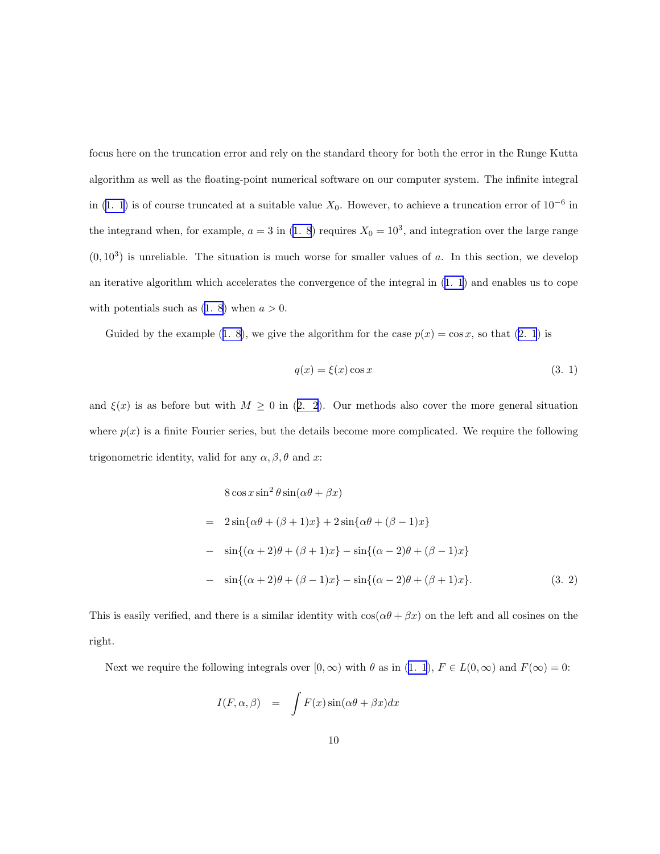<span id="page-9-0"></span>focus here on the truncation error and rely on the standard theory for both the error in the Runge Kutta algorithm as well as the floating-point numerical software on our computer system. The infinite integral in [\(1. 1](#page-0-0)) is of course truncated at a suitable value  $X_0$ . However, to achieve a truncation error of 10<sup>-6</sup> in the integrand when, for example,  $a = 3$  in [\(1. 8](#page-2-0)) requires  $X_0 = 10^3$ , and integration over the large range  $(0, 10^3)$  is unreliable. The situation is much worse for smaller values of a. In this section, we develop an iterative algorithm which accelerates the convergence of the integral in([1. 1](#page-0-0)) and enables us to cope with potentials such as  $(1. 8)$  when  $a > 0$ .

Guidedby the example ([1. 8\)](#page-2-0), we give the algorithm for the case  $p(x) = \cos x$ , so that [\(2. 1](#page-4-0)) is

$$
q(x) = \xi(x)\cos x \tag{3.1}
$$

and $\xi(x)$  is as before but with  $M \geq 0$  in ([2. 2](#page-4-0)). Our methods also cover the more general situation where  $p(x)$  is a finite Fourier series, but the details become more complicated. We require the following trigonometric identity, valid for any  $\alpha, \beta, \theta$  and x:

$$
8 \cos x \sin^2 \theta \sin(\alpha \theta + \beta x)
$$
  
=  $2 \sin{\alpha \theta + (\beta + 1)x} + 2 \sin{\alpha \theta + (\beta - 1)x}$   
-  $\sin{\alpha + (\alpha + 2)\theta + (\beta + 1)x} - \sin{\alpha - 2\theta + (\beta - 1)x}$   
-  $\sin{\alpha + 2\theta + (\beta - 1)x} - \sin{\alpha - 2\theta + (\beta + 1)x}$ . (3. 2)

This is easily verified, and there is a similar identity with  $cos(\alpha\theta + \beta x)$  on the left and all cosines on the right.

Next we require the following integrals over  $[0, \infty)$  with  $\theta$  as in  $(1, 1)$ ,  $F \in L(0, \infty)$  and  $F(\infty) = 0$ :

$$
I(F, \alpha, \beta) = \int F(x) \sin(\alpha \theta + \beta x) dx
$$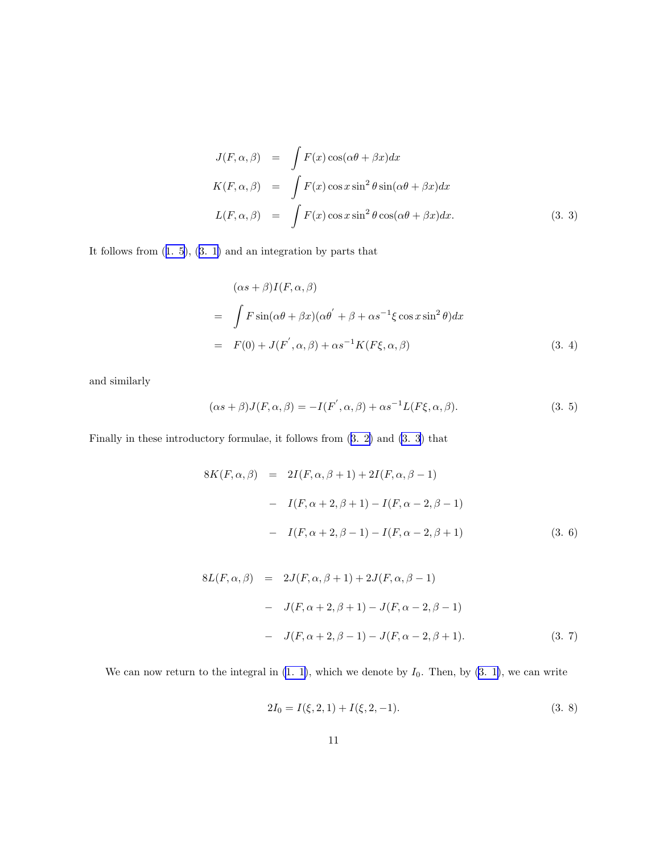<span id="page-10-0"></span>
$$
J(F, \alpha, \beta) = \int F(x) \cos(\alpha \theta + \beta x) dx
$$
  
\n
$$
K(F, \alpha, \beta) = \int F(x) \cos x \sin^2 \theta \sin(\alpha \theta + \beta x) dx
$$
  
\n
$$
L(F, \alpha, \beta) = \int F(x) \cos x \sin^2 \theta \cos(\alpha \theta + \beta x) dx.
$$
\n(3. 3)

It follows from([1. 5\)](#page-1-0),([3. 1\)](#page-9-0) and an integration by parts that

$$
(\alpha s + \beta)I(F, \alpha, \beta)
$$
  
= 
$$
\int F \sin(\alpha \theta + \beta x)(\alpha \theta' + \beta + \alpha s^{-1} \xi \cos x \sin^2 \theta) dx
$$
  
= 
$$
F(0) + J(F', \alpha, \beta) + \alpha s^{-1} K(F\xi, \alpha, \beta)
$$
 (3. 4)

and similarly

$$
(\alpha s + \beta)J(F, \alpha, \beta) = -I(F', \alpha, \beta) + \alpha s^{-1}L(F\xi, \alpha, \beta).
$$
\n(3. 5)

Finally in these introductory formulae, it follows from([3. 2\)](#page-9-0) and [\(3. 3](#page-9-0)) that

$$
8K(F, \alpha, \beta) = 2I(F, \alpha, \beta + 1) + 2I(F, \alpha, \beta - 1)
$$
  
-  $I(F, \alpha + 2, \beta + 1) - I(F, \alpha - 2, \beta - 1)$   
-  $I(F, \alpha + 2, \beta - 1) - I(F, \alpha - 2, \beta + 1)$  (3. 6)

$$
8L(F, \alpha, \beta) = 2J(F, \alpha, \beta + 1) + 2J(F, \alpha, \beta - 1)
$$
  
-  $J(F, \alpha + 2, \beta + 1) - J(F, \alpha - 2, \beta - 1)$   
-  $J(F, \alpha + 2, \beta - 1) - J(F, \alpha - 2, \beta + 1).$  (3. 7)

We can now return to the integral in  $(1, 1)$ , which we denote by  $I_0$ . Then, by  $(3, 1)$ , we can write

$$
2I_0 = I(\xi, 2, 1) + I(\xi, 2, -1).
$$
\n(3. 8)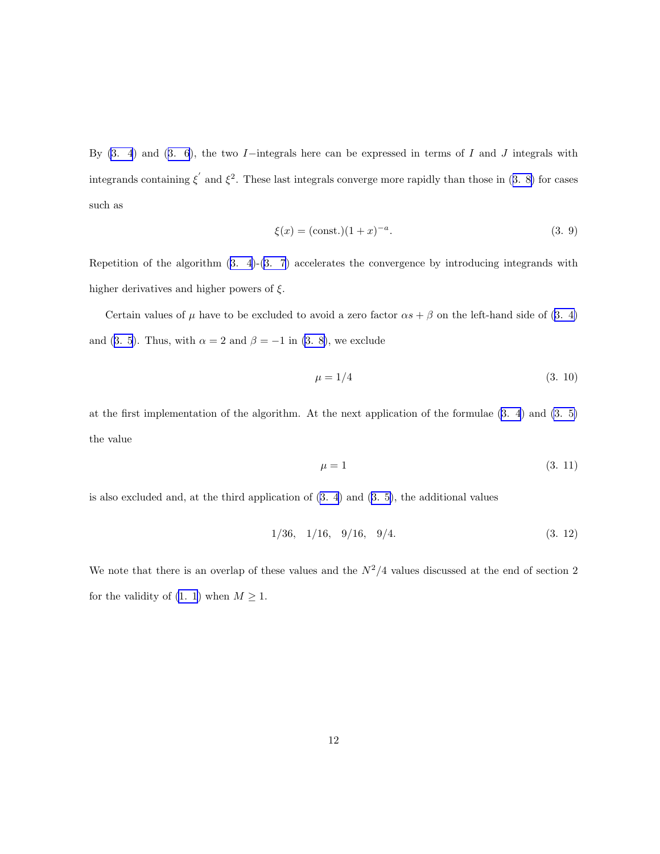<span id="page-11-0"></span>By $(3. 4)$  and  $(3. 6)$  $(3. 6)$  $(3. 6)$ , the two I−integrals here can be expressed in terms of I and J integrals with integrandscontaining  $\xi'$  and  $\xi^2$ . These last integrals converge more rapidly than those in ([3. 8\)](#page-10-0) for cases such as

$$
\xi(x) = (\text{const.})(1+x)^{-a}.\tag{3.9}
$$

Repetition of the algorithm([3. 4\)](#page-10-0)-[\(3. 7](#page-10-0)) accelerates the convergence by introducing integrands with higher derivatives and higher powers of  $\xi$ .

Certainvalues of  $\mu$  have to be excluded to avoid a zero factor  $\alpha s + \beta$  on the left-hand side of ([3. 4\)](#page-10-0) and([3. 5](#page-10-0)). Thus, with  $\alpha = 2$  and  $\beta = -1$  in [\(3. 8\)](#page-10-0), we exclude

$$
\mu = 1/4 \tag{3.10}
$$

at the first implementation of the algorithm. At the next application of the formulae [\(3. 4](#page-10-0)) and [\(3. 5\)](#page-10-0) the value

$$
\mu = 1 \tag{3.11}
$$

is also excluded and, at the third application of [\(3. 4](#page-10-0)) and([3. 5\)](#page-10-0), the additional values

$$
1/36, \quad 1/16, \quad 9/16, \quad 9/4. \tag{3.12}
$$

We note that there is an overlap of these values and the  $N^2/4$  values discussed at the end of section 2 for the validity of [\(1. 1](#page-0-0)) when  $M \geq 1$ .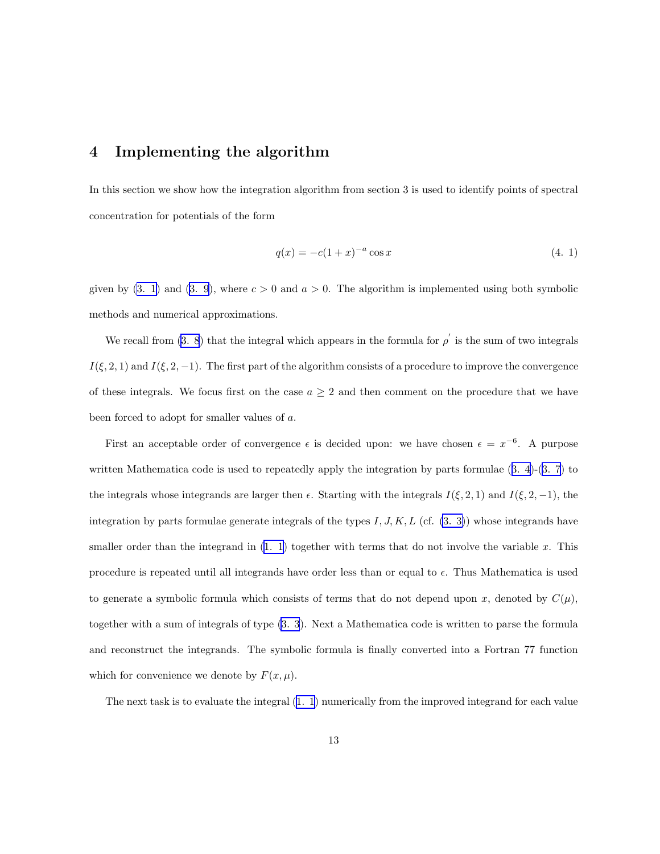### <span id="page-12-0"></span>4 Implementing the algorithm

In this section we show how the integration algorithm from section 3 is used to identify points of spectral concentration for potentials of the form

$$
q(x) = -c(1+x)^{-a}\cos x\tag{4.1}
$$

given by [\(3. 1](#page-9-0))and ([3. 9](#page-11-0)), where  $c > 0$  and  $a > 0$ . The algorithm is implemented using both symbolic methods and numerical approximations.

We recall from [\(3. 8](#page-10-0)) that the integral which appears in the formula for  $\rho'$  is the sum of two integrals  $I(\xi, 2, 1)$  and  $I(\xi, 2, -1)$ . The first part of the algorithm consists of a procedure to improve the convergence of these integrals. We focus first on the case  $a \geq 2$  and then comment on the procedure that we have been forced to adopt for smaller values of a.

First an acceptable order of convergence  $\epsilon$  is decided upon: we have chosen  $\epsilon = x^{-6}$ . A purpose written Mathematica code is used to repeatedly apply the integration by parts formulae([3. 4](#page-10-0))-[\(3. 7](#page-10-0)) to the integrals whose integrands are larger then  $\epsilon$ . Starting with the integrals  $I(\xi, 2, 1)$  and  $I(\xi, 2, -1)$ , the integration by parts formulae generate integrals of the types  $I, J, K, L$  (cf.  $(3, 3)$ ) whose integrands have smaller order than the integrand in  $(1, 1)$  together with terms that do not involve the variable x. This procedure is repeated until all integrands have order less than or equal to  $\epsilon$ . Thus Mathematica is used to generate a symbolic formula which consists of terms that do not depend upon x, denoted by  $C(\mu)$ , together with a sum of integrals of type [\(3. 3](#page-9-0)). Next a Mathematica code is written to parse the formula and reconstruct the integrands. The symbolic formula is finally converted into a Fortran 77 function which for convenience we denote by  $F(x, \mu)$ .

The next task is to evaluate the integral [\(1. 1](#page-0-0)) numerically from the improved integrand for each value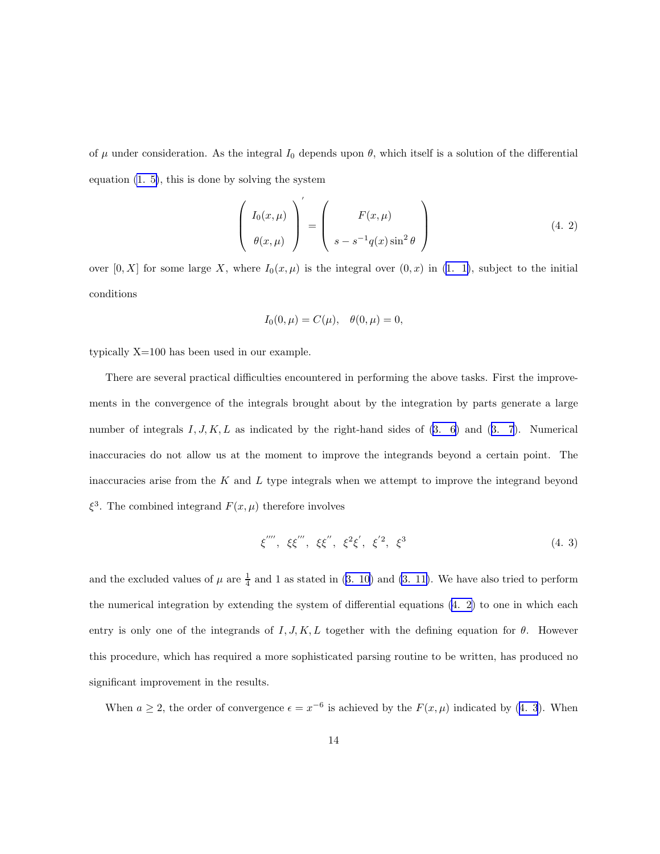<span id="page-13-0"></span>of  $\mu$  under consideration. As the integral  $I_0$  depends upon  $\theta$ , which itself is a solution of the differential equation [\(1. 5\)](#page-1-0), this is done by solving the system

$$
\left(\begin{array}{c} I_0(x,\mu) \\ \theta(x,\mu) \end{array}\right)' = \left(\begin{array}{c} F(x,\mu) \\ s - s^{-1}q(x)\sin^2\theta \end{array}\right) \tag{4.2}
$$

over  $[0, X]$  for some large X, where  $I_0(x, \mu)$  is the integral over  $(0, x)$  in  $(1, 1)$ , subject to the initial conditions

$$
I_0(0,\mu) = C(\mu), \quad \theta(0,\mu) = 0,
$$

typically X=100 has been used in our example.

There are several practical difficulties encountered in performing the above tasks. First the improvements in the convergence of the integrals brought about by the integration by parts generate a large numberof integrals  $I, J, K, L$  as indicated by the right-hand sides of  $(3, 6)$  and  $(3, 7)$ . Numerical inaccuracies do not allow us at the moment to improve the integrands beyond a certain point. The inaccuracies arise from the  $K$  and  $L$  type integrals when we attempt to improve the integrand beyond  $\xi^3$ . The combined integrand  $F(x,\mu)$  therefore involves

$$
\xi'''', \xi\xi''', \xi\xi'', \xi^2\xi', \xi'^2, \xi^3
$$
\n(4. 3)

and the excluded values of  $\mu$  are  $\frac{1}{4}$  and 1 as stated in [\(3. 10](#page-11-0)) and [\(3. 11\)](#page-11-0). We have also tried to perform the numerical integration by extending the system of differential equations (4. 2) to one in which each entry is only one of the integrands of  $I, J, K, L$  together with the defining equation for  $\theta$ . However this procedure, which has required a more sophisticated parsing routine to be written, has produced no significant improvement in the results.

When  $a \geq 2$ , the order of convergence  $\epsilon = x^{-6}$  is achieved by the  $F(x, \mu)$  indicated by (4. 3). When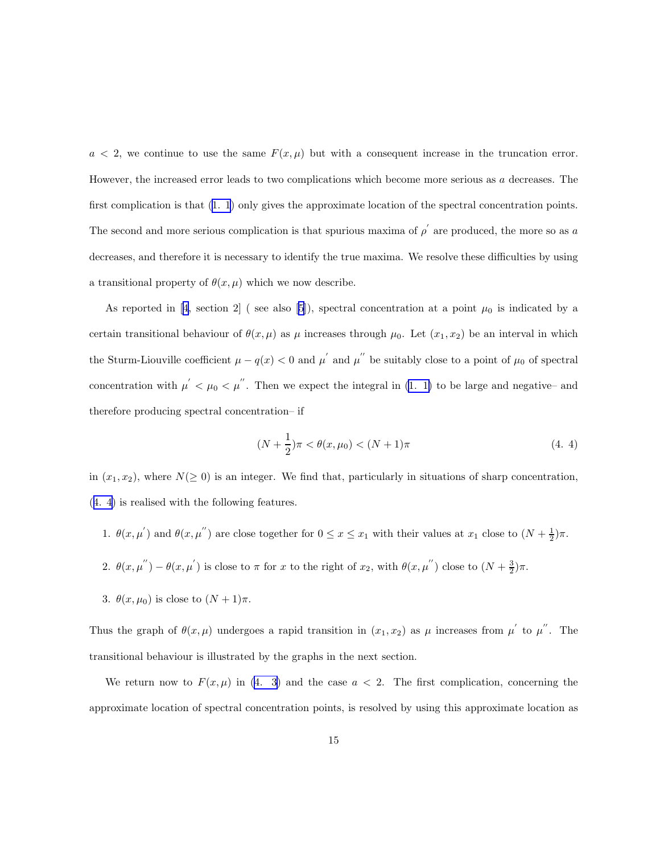<span id="page-14-0"></span> $a < 2$ , we continue to use the same  $F(x, \mu)$  but with a consequent increase in the truncation error. However, the increased error leads to two complications which become more serious as a decreases. The first complication is that([1. 1](#page-0-0)) only gives the approximate location of the spectral concentration points. The second and more serious complication is that spurious maxima of  $\rho'$  are produced, the more so as a decreases, and therefore it is necessary to identify the true maxima. We resolve these difficulties by using a transitional property of  $\theta(x,\mu)$  which we now describe.

Asreported in [[4,](#page-26-0) section 2] (see also [\[5](#page-26-0)]), spectral concentration at a point  $\mu_0$  is indicated by a certain transitional behaviour of  $\theta(x,\mu)$  as  $\mu$  increases through  $\mu_0$ . Let  $(x_1, x_2)$  be an interval in which the Sturm-Liouville coefficient  $\mu - q(x) < 0$  and  $\mu'$  and  $\mu''$  be suitably close to a point of  $\mu_0$  of spectral concentration with  $\mu' < \mu_0 < \mu''$ . Then we expect the integral in [\(1. 1\)](#page-0-0) to be large and negative– and therefore producing spectral concentration– if

$$
(N + \frac{1}{2})\pi < \theta(x, \mu_0) < (N + 1)\pi \tag{4.4}
$$

in  $(x_1, x_2)$ , where  $N(\geq 0)$  is an integer. We find that, particularly in situations of sharp concentration, (4. 4) is realised with the following features.

- 1.  $\theta(x, \mu')$  and  $\theta(x, \mu'')$  are close together for  $0 \le x \le x_1$  with their values at  $x_1$  close to  $(N + \frac{1}{2})\pi$ .
- 2.  $\theta(x,\mu'') \theta(x,\mu')$  is close to  $\pi$  for x to the right of  $x_2$ , with  $\theta(x,\mu'')$  close to  $(N+\frac{3}{2})\pi$ .
- 3.  $\theta(x, \mu_0)$  is close to  $(N + 1)\pi$ .

Thus the graph of  $\theta(x,\mu)$  undergoes a rapid transition in  $(x_1,x_2)$  as  $\mu$  increases from  $\mu'$  to  $\mu''$ . The transitional behaviour is illustrated by the graphs in the next section.

We return now to  $F(x,\mu)$  in [\(4. 3](#page-13-0)) and the case  $a < 2$ . The first complication, concerning the approximate location of spectral concentration points, is resolved by using this approximate location as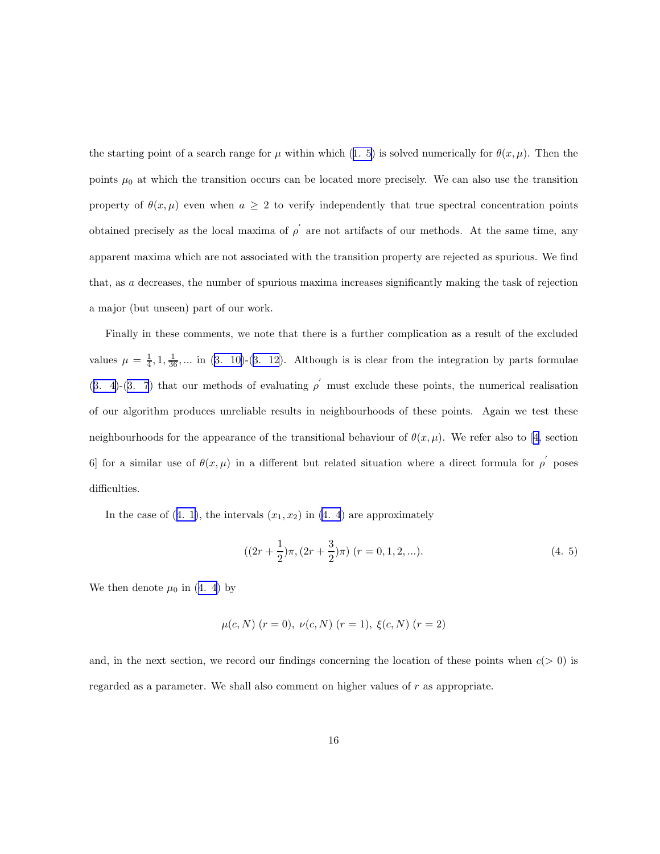<span id="page-15-0"></span>thestarting point of a search range for  $\mu$  within which ([1. 5\)](#page-1-0) is solved numerically for  $\theta(x, \mu)$ . Then the points  $\mu_0$  at which the transition occurs can be located more precisely. We can also use the transition property of  $\theta(x,\mu)$  even when  $a \geq 2$  to verify independently that true spectral concentration points obtained precisely as the local maxima of  $\rho^{'}$  are not artifacts of our methods. At the same time, any apparent maxima which are not associated with the transition property are rejected as spurious. We find that, as a decreases, the number of spurious maxima increases significantly making the task of rejection a major (but unseen) part of our work.

Finally in these comments, we note that there is a further complication as a result of the excluded values $\mu = \frac{1}{4}, 1, \frac{1}{36}, \dots$  in ([3. 10\)](#page-11-0)-([3. 12](#page-11-0)). Although is is clear from the integration by parts formulae ([3. 4](#page-10-0))-[\(3. 7](#page-10-0)) that our methods of evaluating  $\rho'$  must exclude these points, the numerical realisation of our algorithm produces unreliable results in neighbourhoods of these points. Again we test these neighbourhoodsfor the appearance of the transitional behaviour of  $\theta(x,\mu)$ . We refer also to [[4,](#page-26-0) section 6 for a similar use of  $\theta(x,\mu)$  in a different but related situation where a direct formula for  $\rho$  poses difficulties.

Inthe case of  $(4. 1)$  $(4. 1)$ , the intervals  $(x_1, x_2)$  in  $(4. 4)$  are approximately

$$
((2r + \frac{1}{2})\pi, (2r + \frac{3}{2})\pi) (r = 0, 1, 2, \ldots).
$$
 (4. 5)

Wethen denote  $\mu_0$  in ([4. 4](#page-14-0)) by

$$
\mu(c, N)
$$
  $(r = 0)$ ,  $\nu(c, N)$   $(r = 1)$ ,  $\xi(c, N)$   $(r = 2)$ 

and, in the next section, we record our findings concerning the location of these points when  $c(> 0)$  is regarded as a parameter. We shall also comment on higher values of r as appropriate.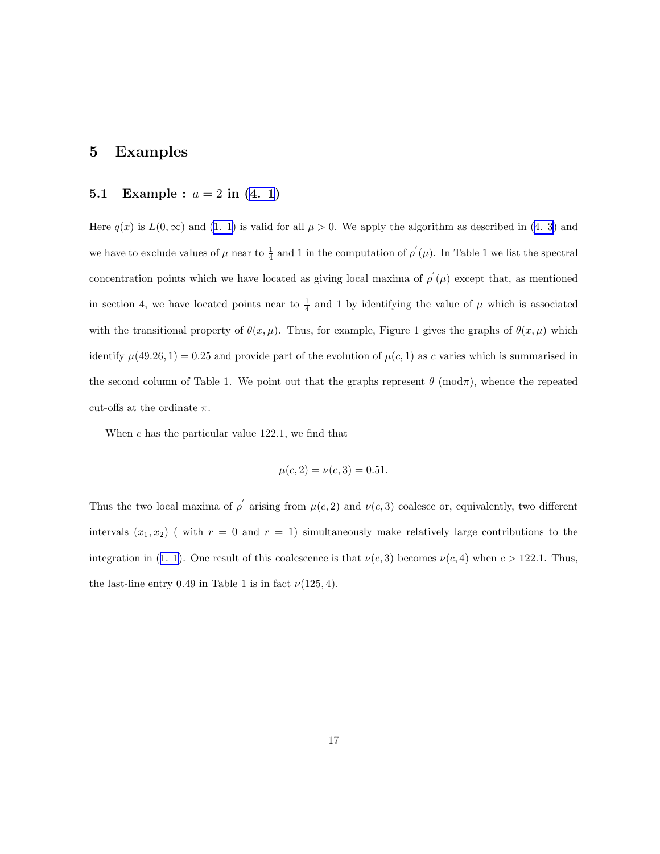### 5 Examples

### 5.1Example :  $a = 2$  in ([4. 1](#page-12-0))

Here $q(x)$  is  $L(0,\infty)$  and  $(1, 1)$  is valid for all  $\mu > 0$ . We apply the algorithm as described in  $(4, 3)$  and we have to exclude values of  $\mu$  near to  $\frac{1}{4}$  and 1 in the computation of  $\rho'(\mu)$ . In Table 1 we list the spectral concentration points which we have located as giving local maxima of  $\rho'(\mu)$  except that, as mentioned in section 4, we have located points near to  $\frac{1}{4}$  and 1 by identifying the value of  $\mu$  which is associated with the transitional property of  $\theta(x, \mu)$ . Thus, for example, Figure 1 gives the graphs of  $\theta(x, \mu)$  which identify  $\mu(49.26, 1) = 0.25$  and provide part of the evolution of  $\mu(c, 1)$  as c varies which is summarised in the second column of Table 1. We point out that the graphs represent  $\theta$  (mod $\pi$ ), whence the repeated cut-offs at the ordinate  $\pi$ .

When  $c$  has the particular value 122.1, we find that

$$
\mu(c, 2) = \nu(c, 3) = 0.51.
$$

Thus the two local maxima of  $\rho'$  arising from  $\mu(c, 2)$  and  $\nu(c, 3)$  coalesce or, equivalently, two different intervals  $(x_1, x_2)$  (with  $r = 0$  and  $r = 1$ ) simultaneously make relatively large contributions to the integrationin ([1. 1\)](#page-0-0). One result of this coalescence is that  $\nu(c, 3)$  becomes  $\nu(c, 4)$  when  $c > 122.1$ . Thus, the last-line entry 0.49 in Table 1 is in fact  $\nu(125, 4)$ .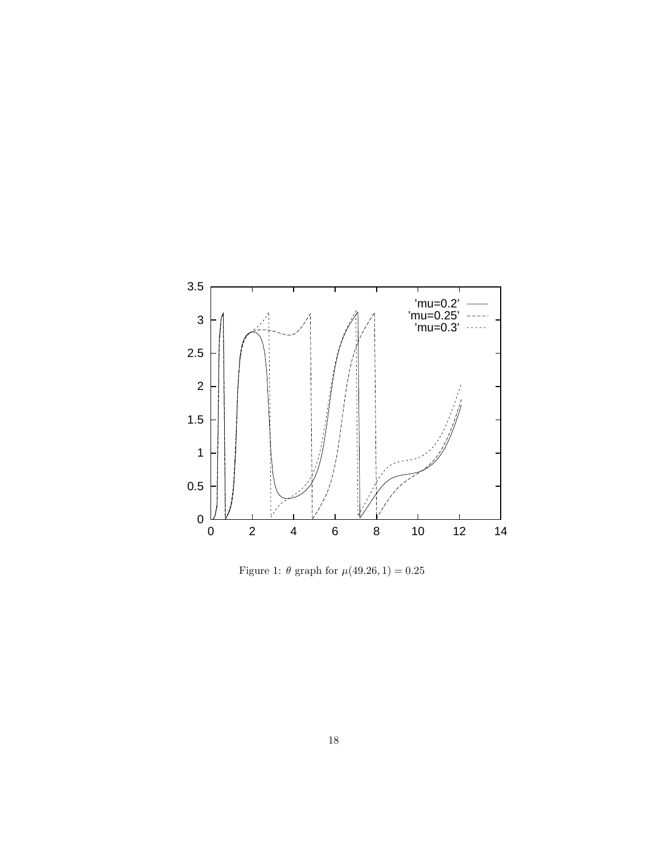

Figure 1:  $\theta$  graph for  $\mu$ (49.26, 1) = 0.25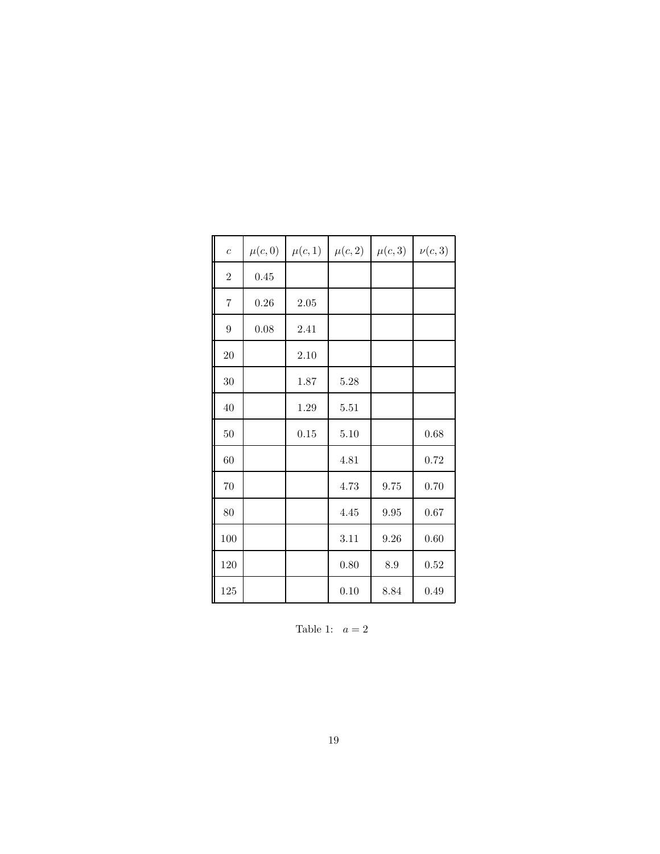| $\overline{c}$ | $\mu(c,0)$ | $\mu(c,1)$ | $\mu(c,2)$ | $\mu(c,3)$ | $\nu(c,3)$ |
|----------------|------------|------------|------------|------------|------------|
| $\overline{2}$ | 0.45       |            |            |            |            |
| $\overline{7}$ | $0.26\,$   | 2.05       |            |            |            |
| 9              | 0.08       | 2.41       |            |            |            |
| 20             |            | 2.10       |            |            |            |
| 30             |            | 1.87       | $5.28\,$   |            |            |
| 40             |            | 1.29       | 5.51       |            |            |
| $50\,$         |            | 0.15       | 5.10       |            | 0.68       |
| 60             |            |            | 4.81       |            | 0.72       |
| $70\,$         |            |            | 4.73       | 9.75       | 0.70       |
| 80             |            |            | 4.45       | 9.95       | 0.67       |
| 100            |            |            | $3.11\,$   | 9.26       | 0.60       |
| 120            |            |            | 0.80       | 8.9        | 0.52       |
| 125            |            |            | 0.10       | 8.84       | 0.49       |

Table 1:  $a = 2$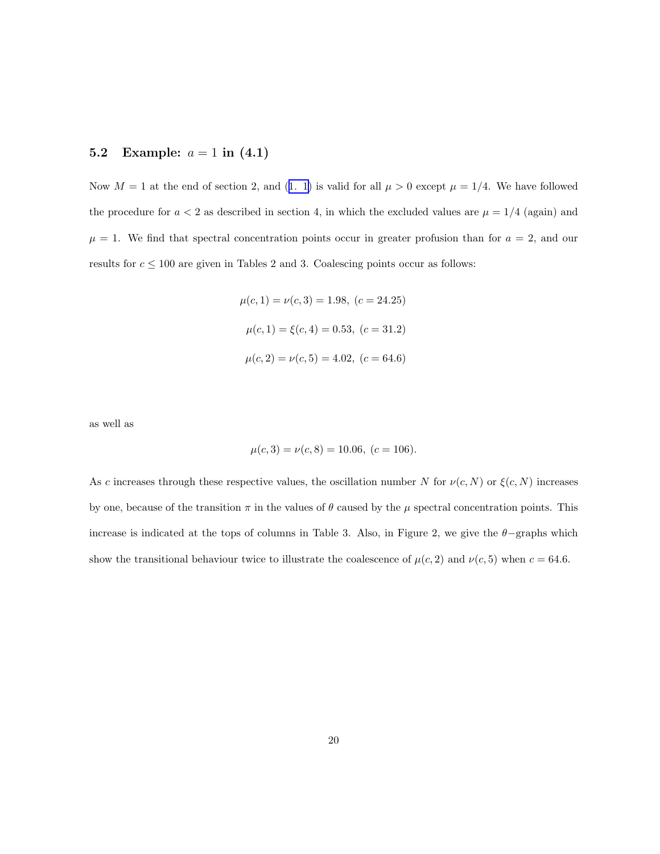#### 5.2 Example:  $a = 1$  in  $(4.1)$

Now $M = 1$  at the end of section 2, and ([1. 1\)](#page-0-0) is valid for all  $\mu > 0$  except  $\mu = 1/4$ . We have followed the procedure for  $a < 2$  as described in section 4, in which the excluded values are  $\mu = 1/4$  (again) and  $\mu = 1$ . We find that spectral concentration points occur in greater profusion than for  $a = 2$ , and our results for  $c \leq 100$  are given in Tables 2 and 3. Coalescing points occur as follows:

$$
\mu(c, 1) = \nu(c, 3) = 1.98, (c = 24.25)
$$

$$
\mu(c, 1) = \xi(c, 4) = 0.53, (c = 31.2)
$$

$$
\mu(c, 2) = \nu(c, 5) = 4.02, (c = 64.6)
$$

as well as

$$
\mu(c,3) = \nu(c,8) = 10.06, (c = 106).
$$

As c increases through these respective values, the oscillation number N for  $\nu(c, N)$  or  $\xi(c, N)$  increases by one, because of the transition  $\pi$  in the values of  $\theta$  caused by the  $\mu$  spectral concentration points. This increase is indicated at the tops of columns in Table 3. Also, in Figure 2, we give the  $\theta$ -graphs which show the transitional behaviour twice to illustrate the coalescence of  $\mu(c, 2)$  and  $\nu(c, 5)$  when  $c = 64.6$ .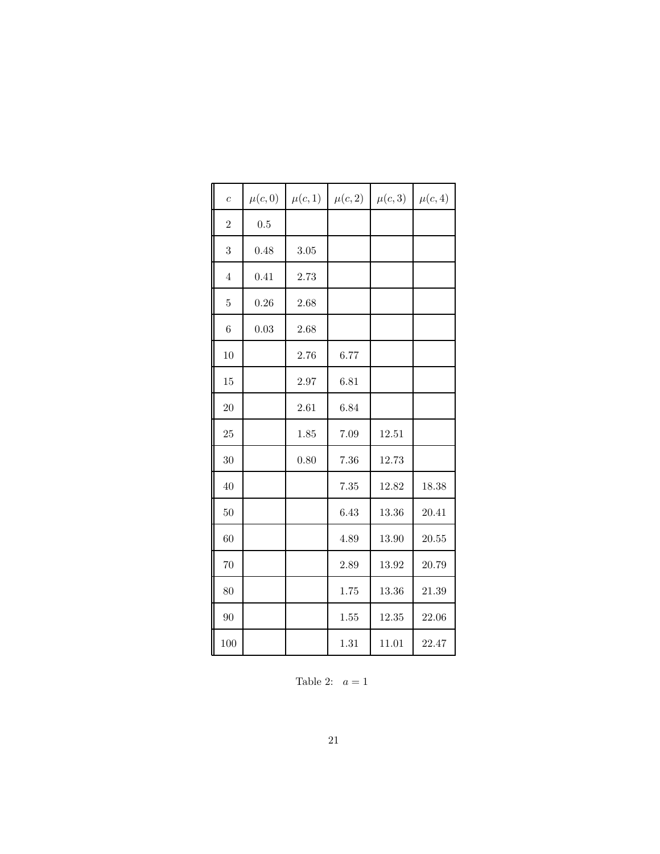| $\overline{c}$ | $\mu(c,0)$ | $\mu(c,1)$ | $\mu(c,2)$ | $\mu(c,3)$ | $\mu(c,4)$ |
|----------------|------------|------------|------------|------------|------------|
| $\overline{2}$ | 0.5        |            |            |            |            |
| 3              | 0.48       | 3.05       |            |            |            |
| $\overline{4}$ | 0.41       | 2.73       |            |            |            |
| $\overline{5}$ | 0.26       | 2.68       |            |            |            |
| 6              | 0.03       | 2.68       |            |            |            |
| 10             |            | 2.76       | 6.77       |            |            |
| 15             |            | 2.97       | 6.81       |            |            |
| 20             |            | 2.61       | 6.84       |            |            |
| 25             |            | 1.85       | 7.09       | 12.51      |            |
| 30             |            | 0.80       | 7.36       | 12.73      |            |
| 40             |            |            | 7.35       | 12.82      | 18.38      |
| 50             |            |            | 6.43       | 13.36      | 20.41      |
| 60             |            |            | 4.89       | 13.90      | 20.55      |
| 70             |            |            | 2.89       | 13.92      | 20.79      |
| 80             |            |            | 1.75       | 13.36      | 21.39      |
| 90             |            |            | 1.55       | 12.35      | 22.06      |
| 100            |            |            | 1.31       | 11.01      | 22.47      |

Table 2:  $a = 1$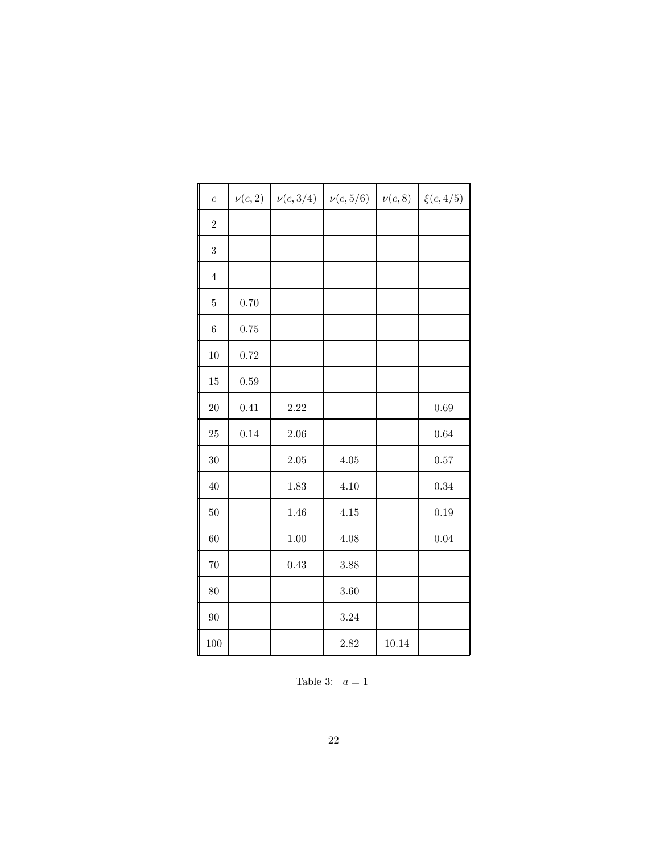| $\overline{c}$ | $\nu(c,2)$ | $\nu(c,3/4)$ | $\nu(c, 5/6)$ | $\nu(c,8)$ | $\xi(c,4/5)$ |
|----------------|------------|--------------|---------------|------------|--------------|
| $\overline{2}$ |            |              |               |            |              |
| 3              |            |              |               |            |              |
| $\overline{4}$ |            |              |               |            |              |
| $\bf 5$        | 0.70       |              |               |            |              |
| $\,6$          | 0.75       |              |               |            |              |
| 10             | 0.72       |              |               |            |              |
| 15             | 0.59       |              |               |            |              |
| 20             | 0.41       | 2.22         |               |            | 0.69         |
| 25             | 0.14       | 2.06         |               |            | 0.64         |
| 30             |            | $2.05\,$     | 4.05          |            | $0.57\,$     |
| 40             |            | 1.83         | 4.10          |            | 0.34         |
| 50             |            | 1.46         | 4.15          |            | 0.19         |
| 60             |            | $1.00\,$     | 4.08          |            | 0.04         |
| 70             |            | 0.43         | 3.88          |            |              |
| 80             |            |              | 3.60          |            |              |
| 90             |            |              | 3.24          |            |              |
| $100\,$        |            |              | 2.82          | 10.14      |              |

Table 3:  $a = 1$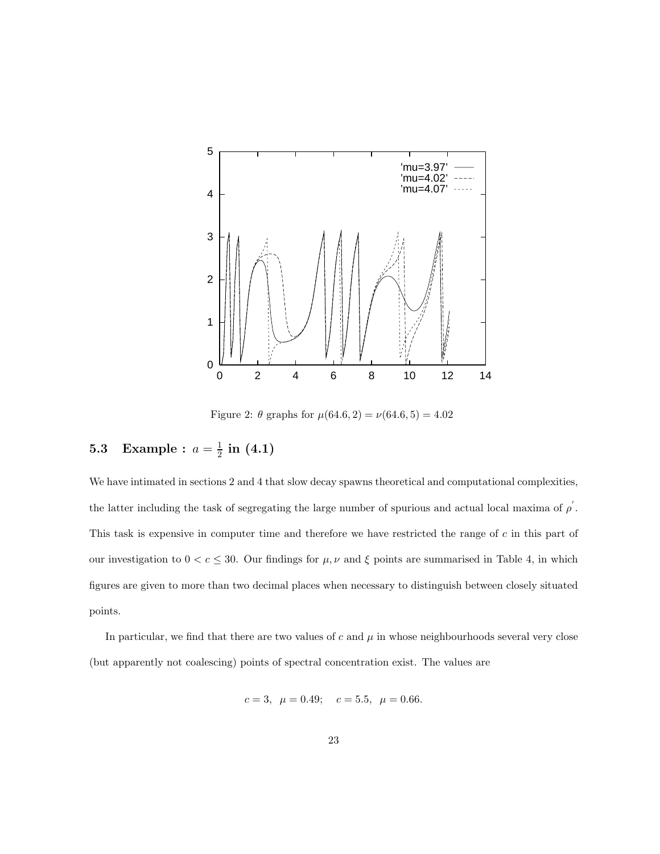

Figure 2:  $\theta$  graphs for  $\mu(64.6, 2) = \nu(64.6, 5) = 4.02$ 

#### **5.3** Example :  $a = \frac{1}{2}$  $\frac{1}{2}$  in  $(4.1)$

We have intimated in sections 2 and 4 that slow decay spawns theoretical and computational complexities, the latter including the task of segregating the large number of spurious and actual local maxima of  $\rho'$ . This task is expensive in computer time and therefore we have restricted the range of c in this part of our investigation to  $0 < c \leq 30$ . Our findings for  $\mu, \nu$  and  $\xi$  points are summarised in Table 4, in which figures are given to more than two decimal places when necessary to distinguish between closely situated points.

In particular, we find that there are two values of  $c$  and  $\mu$  in whose neighbourhoods several very close (but apparently not coalescing) points of spectral concentration exist. The values are

$$
c = 3
$$
,  $\mu = 0.49$ ;  $c = 5.5$ ,  $\mu = 0.66$ .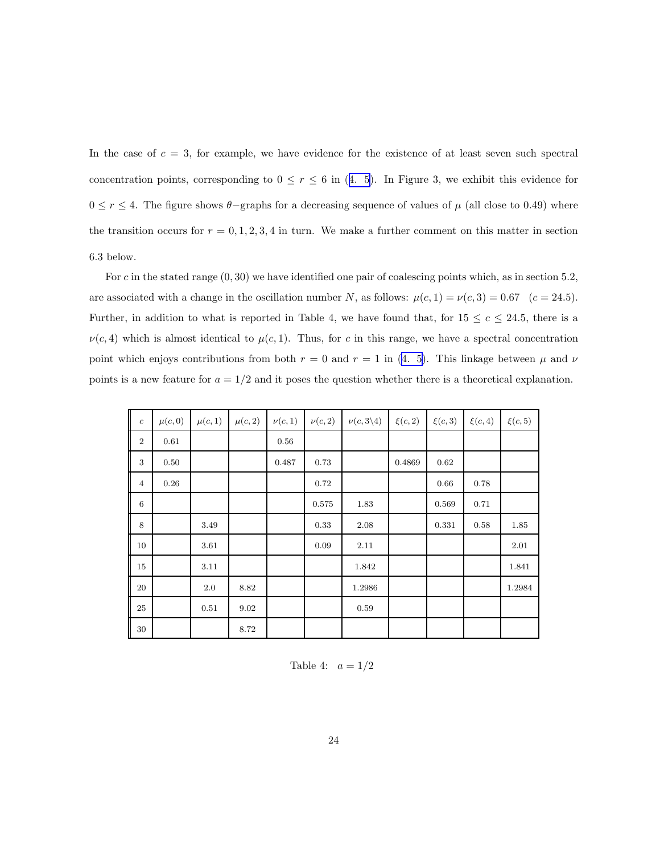In the case of  $c = 3$ , for example, we have evidence for the existence of at least seven such spectral concentrationpoints, corresponding to  $0 \le r \le 6$  in ([4. 5](#page-15-0)). In Figure 3, we exhibit this evidence for  $0 ≤ r ≤ 4$ . The figure shows  $\theta$ -graphs for a decreasing sequence of values of  $\mu$  (all close to 0.49) where the transition occurs for  $r = 0, 1, 2, 3, 4$  in turn. We make a further comment on this matter in section 6.3 below.

For c in the stated range  $(0, 30)$  we have identified one pair of coalescing points which, as in section 5.2, are associated with a change in the oscillation number N, as follows:  $\mu(c, 1) = \nu(c, 3) = 0.67$  (c = 24.5). Further, in addition to what is reported in Table 4, we have found that, for  $15 \le c \le 24.5$ , there is a  $\nu(c, 4)$  which is almost identical to  $\mu(c, 1)$ . Thus, for c in this range, we have a spectral concentration pointwhich enjoys contributions from both  $r = 0$  and  $r = 1$  in ([4. 5\)](#page-15-0). This linkage between  $\mu$  and  $\nu$ points is a new feature for  $a = 1/2$  and it poses the question whether there is a theoretical explanation.

| $\boldsymbol{c}$ | $\mu(c,0)$ | $\mu(c,1)$ | $\mu(c,2)$ | $\nu(c,1)$ | $\nu(c,2)$ | $\nu(c,3\backslash4)$ | $\xi(c,2)$ | $\xi(c,3)$ | $\xi(c,4)$ | $\xi(c,5)$ |
|------------------|------------|------------|------------|------------|------------|-----------------------|------------|------------|------------|------------|
| $\boldsymbol{2}$ | 0.61       |            |            | 0.56       |            |                       |            |            |            |            |
| 3                | 0.50       |            |            | 0.487      | 0.73       |                       | 0.4869     | 0.62       |            |            |
| $\overline{4}$   | 0.26       |            |            |            | 0.72       |                       |            | 0.66       | 0.78       |            |
| $\,6\,$          |            |            |            |            | 0.575      | 1.83                  |            | 0.569      | 0.71       |            |
| 8                |            | 3.49       |            |            | 0.33       | 2.08                  |            | 0.331      | 0.58       | 1.85       |
| 10               |            | 3.61       |            |            | 0.09       | 2.11                  |            |            |            | 2.01       |
| 15               |            | 3.11       |            |            |            | 1.842                 |            |            |            | 1.841      |
| 20               |            | 2.0        | 8.82       |            |            | 1.2986                |            |            |            | 1.2984     |
| 25               |            | 0.51       | 9.02       |            |            | 0.59                  |            |            |            |            |
| 30               |            |            | 8.72       |            |            |                       |            |            |            |            |

Table 4:  $a = 1/2$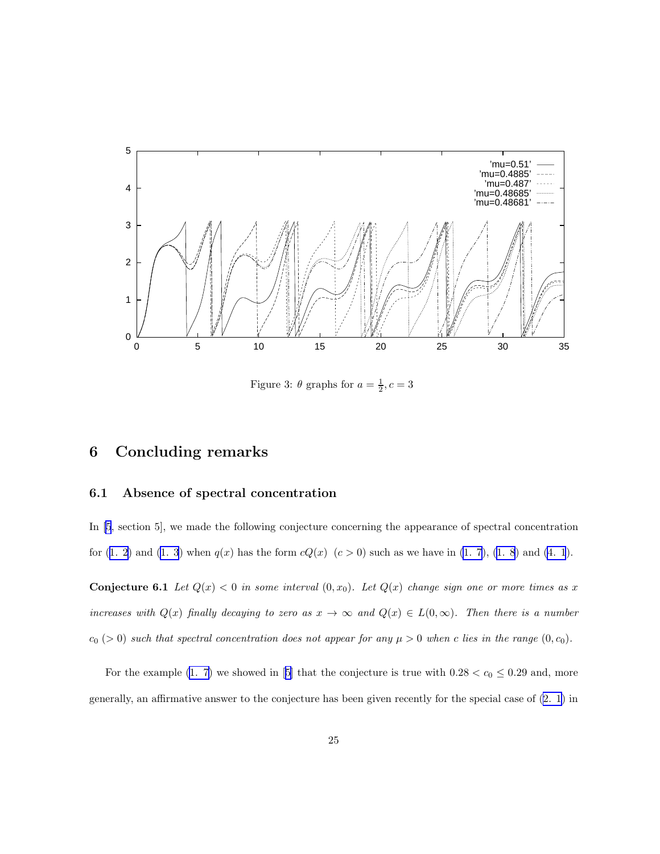

Figure 3:  $\theta$  graphs for  $a = \frac{1}{2}, c = 3$ 

# 6 Concluding remarks

### 6.1 Absence of spectral concentration

In [\[5](#page-26-0), section 5], we made the following conjecture concerning the appearance of spectral concentration for([1. 2\)](#page-0-0) and [\(1. 3](#page-0-0)) when  $q(x)$  has the form  $cQ(x)$   $(c > 0)$  such as we have in [\(1. 7](#page-2-0)), [\(1. 8](#page-2-0)) and [\(4. 1](#page-12-0)).

**Conjecture 6.1** Let  $Q(x) < 0$  in some interval  $(0, x_0)$ . Let  $Q(x)$  change sign one or more times as x increases with  $Q(x)$  finally decaying to zero as  $x \to \infty$  and  $Q(x) \in L(0,\infty)$ . Then there is a number  $c_0$  (> 0) such that spectral concentration does not appear for any  $\mu > 0$  when c lies in the range  $(0, c_0)$ .

For the example [\(1. 7\)](#page-2-0)we showed in [[5\]](#page-26-0) that the conjecture is true with  $0.28 < c_0 \le 0.29$  and, more generally, an affirmative answer to the conjecture has been given recently for the special case of [\(2. 1](#page-4-0)) in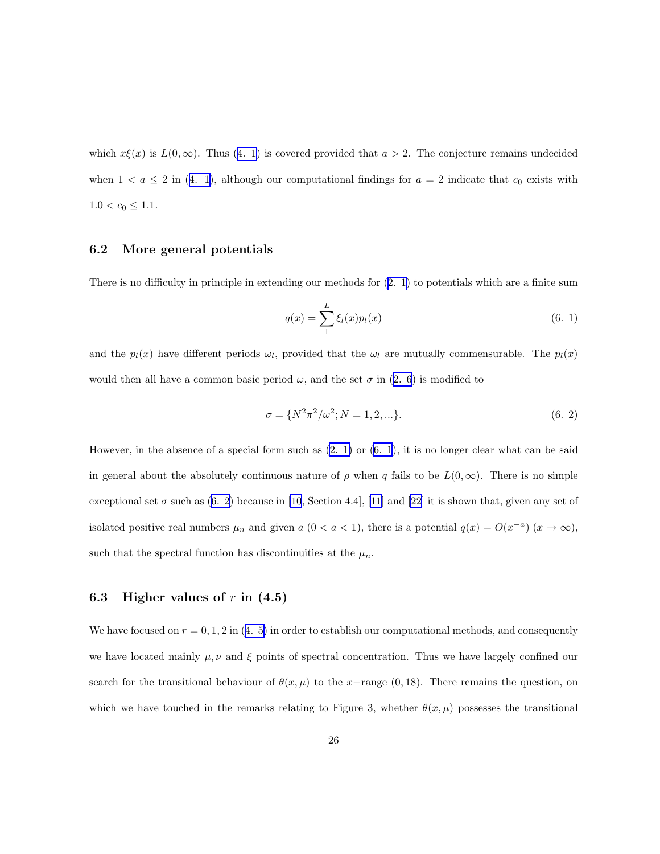which  $x\xi(x)$  is  $L(0,\infty)$ . Thus [\(4. 1](#page-12-0)) is covered provided that  $a > 2$ . The conjecture remains undecided when $1 < a \leq 2$  in ([4. 1\)](#page-12-0), although our computational findings for  $a = 2$  indicate that  $c_0$  exists with  $1.0 < c_0 \leq 1.1.$ 

### 6.2 More general potentials

There is no difficulty in principle in extending our methods for([2. 1](#page-4-0)) to potentials which are a finite sum

$$
q(x) = \sum_{1}^{L} \xi_l(x) p_l(x)
$$
\n(6. 1)

and the  $p_l(x)$  have different periods  $\omega_l$ , provided that the  $\omega_l$  are mutually commensurable. The  $p_l(x)$ would then all have a common basic period  $\omega$ , and the set  $\sigma$  in [\(2. 6](#page-4-0)) is modified to

$$
\sigma = \{N^2 \pi^2 / \omega^2; N = 1, 2, \ldots\}.
$$
\n(6. 2)

However, in the absence of a special form such as  $(2. 1)$  or  $(6. 1)$ , it is no longer clear what can be said in general about the absolutely continuous nature of  $\rho$  when q fails to be  $L(0,\infty)$ . There is no simple exceptional set  $\sigma$  such as (6. 2) because in [\[10](#page-27-0), Section 4.4], [\[11\]](#page-27-0) and [\[22](#page-28-0)] it is shown that, given any set of isolated positive real numbers  $\mu_n$  and given  $a$  (0 <  $a < 1$ ), there is a potential  $q(x) = O(x^{-a})$   $(x \to \infty)$ , such that the spectral function has discontinuities at the  $\mu_n$ .

#### 6.3 Higher values of  $r$  in  $(4.5)$

Wehave focused on  $r = 0, 1, 2$  in ([4. 5\)](#page-15-0) in order to establish our computational methods, and consequently we have located mainly  $\mu, \nu$  and  $\xi$  points of spectral concentration. Thus we have largely confined our search for the transitional behaviour of  $\theta(x, \mu)$  to the x-range (0,18). There remains the question, on which we have touched in the remarks relating to Figure 3, whether  $\theta(x,\mu)$  possesses the transitional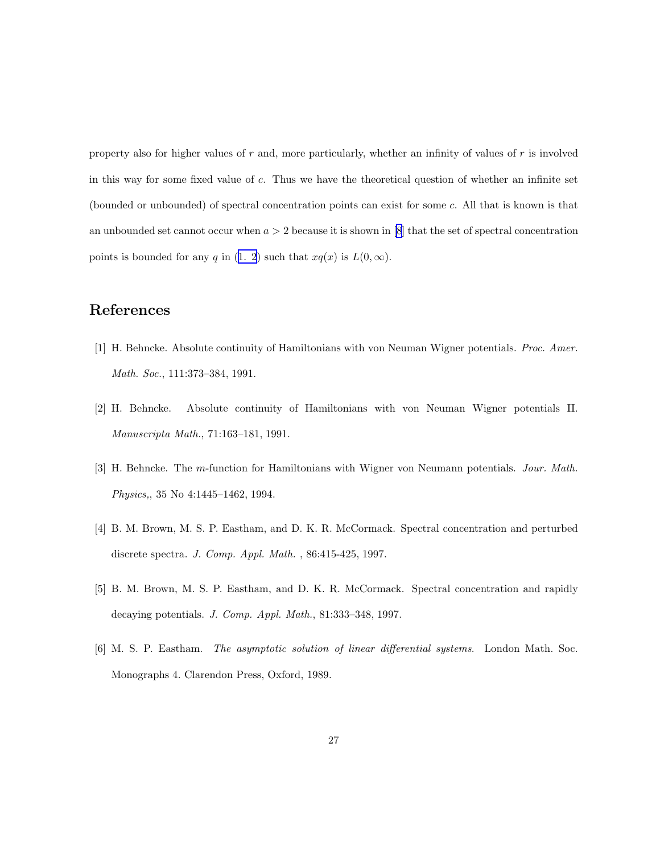<span id="page-26-0"></span>property also for higher values of r and, more particularly, whether an infinity of values of r is involved in this way for some fixed value of c. Thus we have the theoretical question of whether an infinite set (bounded or unbounded) of spectral concentration points can exist for some c. All that is known is that an unbounded set cannot occur when  $a > 2$  because it is shown in [\[8\]](#page-27-0) that the set of spectral concentration points is bounded for any q in [\(1. 2](#page-0-0)) such that  $xq(x)$  is  $L(0, \infty)$ .

# References

- [1] H. Behncke. Absolute continuity of Hamiltonians with von Neuman Wigner potentials. Proc. Amer. Math. Soc., 111:373–384, 1991.
- [2] H. Behncke. Absolute continuity of Hamiltonians with von Neuman Wigner potentials II. Manuscripta Math., 71:163–181, 1991.
- [3] H. Behncke. The m-function for Hamiltonians with Wigner von Neumann potentials. Jour. Math. Physics,, 35 No 4:1445–1462, 1994.
- [4] B. M. Brown, M. S. P. Eastham, and D. K. R. McCormack. Spectral concentration and perturbed discrete spectra. J. Comp. Appl. Math. , 86:415-425, 1997.
- [5] B. M. Brown, M. S. P. Eastham, and D. K. R. McCormack. Spectral concentration and rapidly decaying potentials. J. Comp. Appl. Math., 81:333–348, 1997.
- [6] M. S. P. Eastham. The asymptotic solution of linear differential systems. London Math. Soc. Monographs 4. Clarendon Press, Oxford, 1989.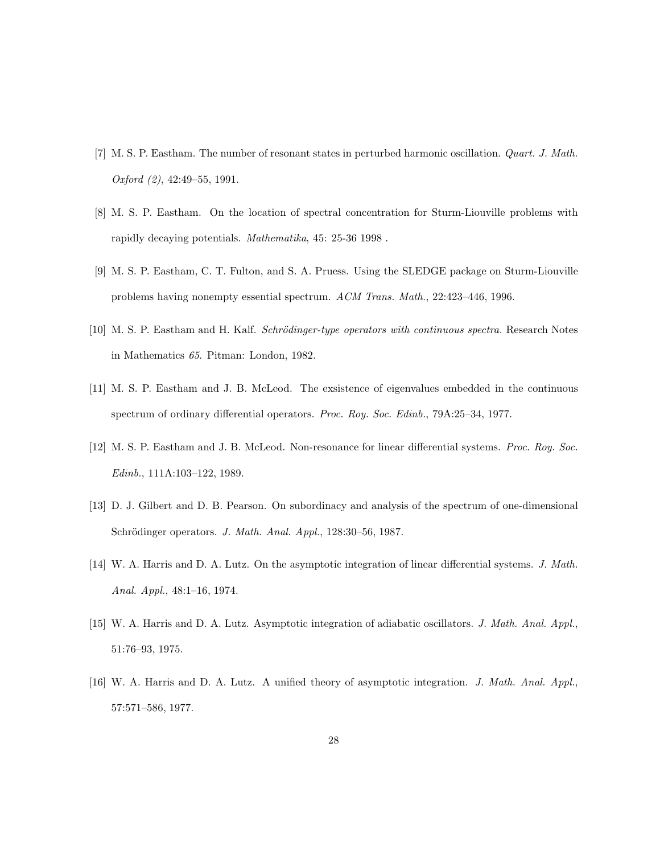- <span id="page-27-0"></span>[7] M. S. P. Eastham. The number of resonant states in perturbed harmonic oscillation. Quart. J. Math. Oxford (2), 42:49–55, 1991.
- [8] M. S. P. Eastham. On the location of spectral concentration for Sturm-Liouville problems with rapidly decaying potentials. Mathematika, 45: 25-36 1998 .
- [9] M. S. P. Eastham, C. T. Fulton, and S. A. Pruess. Using the SLEDGE package on Sturm-Liouville problems having nonempty essential spectrum. ACM Trans. Math., 22:423–446, 1996.
- [10] M. S. P. Eastham and H. Kalf. *Schrödinger-type operators with continuous spectra*. Research Notes in Mathematics 65. Pitman: London, 1982.
- [11] M. S. P. Eastham and J. B. McLeod. The exsistence of eigenvalues embedded in the continuous spectrum of ordinary differential operators. Proc. Roy. Soc. Edinb., 79A:25–34, 1977.
- [12] M. S. P. Eastham and J. B. McLeod. Non-resonance for linear differential systems. Proc. Roy. Soc. Edinb., 111A:103–122, 1989.
- [13] D. J. Gilbert and D. B. Pearson. On subordinacy and analysis of the spectrum of one-dimensional Schrödinger operators. J. Math. Anal. Appl., 128:30-56, 1987.
- [14] W. A. Harris and D. A. Lutz. On the asymptotic integration of linear differential systems. J. Math. Anal. Appl., 48:1–16, 1974.
- [15] W. A. Harris and D. A. Lutz. Asymptotic integration of adiabatic oscillators. J. Math. Anal. Appl., 51:76–93, 1975.
- [16] W. A. Harris and D. A. Lutz. A unified theory of asymptotic integration. J. Math. Anal. Appl., 57:571–586, 1977.